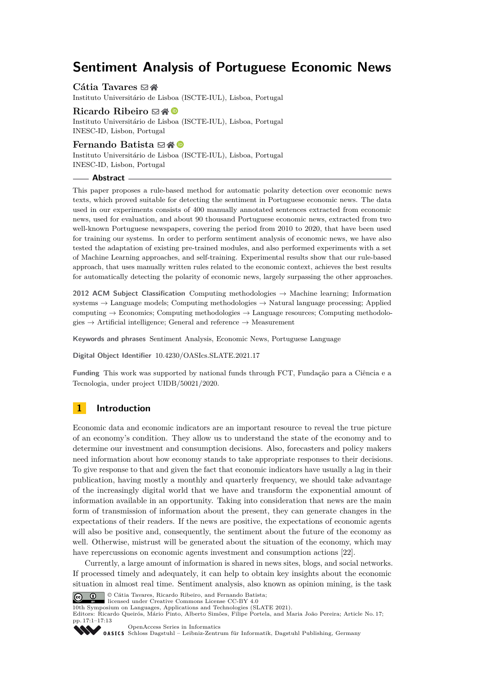# **Sentiment Analysis of Portuguese Economic News**

**Cátia Tavares** ⊠ A Instituto Universitário de Lisboa (ISCTE-IUL), Lisboa, Portugal

**Ricardo Ribeiro** ⊠ <sup>*N*</sup> Instituto Universitário de Lisboa (ISCTE-IUL), Lisboa, Portugal INESC-ID, Lisbon, Portugal

## **Fernando Batista** ⊠A **©**

Instituto Universitário de Lisboa (ISCTE-IUL), Lisboa, Portugal INESC-ID, Lisbon, Portugal

#### **Abstract**

This paper proposes a rule-based method for automatic polarity detection over economic news texts, which proved suitable for detecting the sentiment in Portuguese economic news. The data used in our experiments consists of 400 manually annotated sentences extracted from economic news, used for evaluation, and about 90 thousand Portuguese economic news, extracted from two well-known Portuguese newspapers, covering the period from 2010 to 2020, that have been used for training our systems. In order to perform sentiment analysis of economic news, we have also tested the adaptation of existing pre-trained modules, and also performed experiments with a set of Machine Learning approaches, and self-training. Experimental results show that our rule-based approach, that uses manually written rules related to the economic context, achieves the best results for automatically detecting the polarity of economic news, largely surpassing the other approaches.

**2012 ACM Subject Classification** Computing methodologies → Machine learning; Information systems → Language models; Computing methodologies → Natural language processing; Applied computing  $\rightarrow$  Economics; Computing methodologies  $\rightarrow$  Language resources; Computing methodologies  $\rightarrow$  Artificial intelligence; General and reference  $\rightarrow$  Measurement

**Keywords and phrases** Sentiment Analysis, Economic News, Portuguese Language

**Digital Object Identifier** [10.4230/OASIcs.SLATE.2021.17](https://doi.org/10.4230/OASIcs.SLATE.2021.17)

**Funding** This work was supported by national funds through FCT, Fundação para a Ciência e a Tecnologia, under project UIDB/50021/2020.

## **1 Introduction**

Economic data and economic indicators are an important resource to reveal the true picture of an economy's condition. They allow us to understand the state of the economy and to determine our investment and consumption decisions. Also, forecasters and policy makers need information about how economy stands to take appropriate responses to their decisions. To give response to that and given the fact that economic indicators have usually a lag in their publication, having mostly a monthly and quarterly frequency, we should take advantage of the increasingly digital world that we have and transform the exponential amount of information available in an opportunity. Taking into consideration that news are the main form of transmission of information about the present, they can generate changes in the expectations of their readers. If the news are positive, the expectations of economic agents will also be positive and, consequently, the sentiment about the future of the economy as well. Otherwise, mistrust will be generated about the situation of the economy, which may have repercussions on economic agents investment and consumption actions [\[22\]](#page-11-0).

Currently, a large amount of information is shared in news sites, blogs, and social networks. If processed timely and adequately, it can help to obtain key insights about the economic situation in almost real time. Sentiment analysis, also known as opinion mining, is the task



© Cátia Tavares, Ricardo Ribeiro, and Fernando Batista; licensed under Creative Commons License CC-BY 4.0

10th Symposium on Languages, Applications and Technologies (SLATE 2021).

Editors: Ricardo Queirós, Mário Pinto, Alberto Simões, Filipe Portela, and Maria João Pereira; Article No. 17;

pp. 17:1–17:13

[OpenAccess Series in Informatics](https://www.dagstuhl.de/oasics/)

OPENCOSS DELIS III IIIIVI IIIE Informatik, Dagstuhl Publishing, Germany<br> **OASICS** [Schloss Dagstuhl – Leibniz-Zentrum für Informatik, Dagstuhl Publishing, Germany](https://www.dagstuhl.de)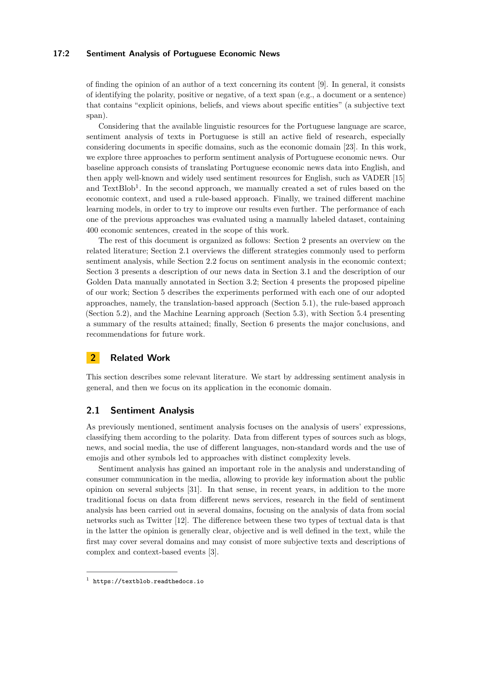#### **17:2 Sentiment Analysis of Portuguese Economic News**

of finding the opinion of an author of a text concerning its content [\[9\]](#page-11-1). In general, it consists of identifying the polarity, positive or negative, of a text span (e.g., a document or a sentence) that contains "explicit opinions, beliefs, and views about specific entities" (a subjective text span).

Considering that the available linguistic resources for the Portuguese language are scarce, sentiment analysis of texts in Portuguese is still an active field of research, especially considering documents in specific domains, such as the economic domain [\[23\]](#page-11-2). In this work, we explore three approaches to perform sentiment analysis of Portuguese economic news. Our baseline approach consists of translating Portuguese economic news data into English, and then apply well-known and widely used sentiment resources for English, such as VADER [\[15\]](#page-11-3) and  $TextBlob<sup>1</sup>$  $TextBlob<sup>1</sup>$  $TextBlob<sup>1</sup>$ . In the second approach, we manually created a set of rules based on the economic context, and used a rule-based approach. Finally, we trained different machine learning models, in order to try to improve our results even further. The performance of each one of the previous approaches was evaluated using a manually labeled dataset, containing 400 economic sentences, created in the scope of this work.

The rest of this document is organized as follows: Section [2](#page-1-1) presents an overview on the related literature; Section [2.1](#page-1-2) overviews the different strategies commonly used to perform sentiment analysis, while Section [2.2](#page-3-0) focus on sentiment analysis in the economic context; Section [3](#page-3-1) presents a description of our news data in Section [3.1](#page-3-2) and the description of our Golden Data manually annotated in Section [3.2;](#page-5-0) Section [4](#page-5-1) presents the proposed pipeline of our work; Section [5](#page-6-0) describes the experiments performed with each one of our adopted approaches, namely, the translation-based approach (Section [5.1\)](#page-6-1), the rule-based approach (Section [5.2\)](#page-7-0), and the Machine Learning approach (Section [5.3\)](#page-7-1), with Section [5.4](#page-9-0) presenting a summary of the results attained; finally, Section [6](#page-9-1) presents the major conclusions, and recommendations for future work.

## <span id="page-1-1"></span>**2 Related Work**

This section describes some relevant literature. We start by addressing sentiment analysis in general, and then we focus on its application in the economic domain.

## <span id="page-1-2"></span>**2.1 Sentiment Analysis**

As previously mentioned, sentiment analysis focuses on the analysis of users' expressions, classifying them according to the polarity. Data from different types of sources such as blogs, news, and social media, the use of different languages, non-standard words and the use of emojis and other symbols led to approaches with distinct complexity levels.

Sentiment analysis has gained an important role in the analysis and understanding of consumer communication in the media, allowing to provide key information about the public opinion on several subjects [\[31\]](#page-12-0). In that sense, in recent years, in addition to the more traditional focus on data from different news services, research in the field of sentiment analysis has been carried out in several domains, focusing on the analysis of data from social networks such as Twitter [\[12\]](#page-11-4). The difference between these two types of textual data is that in the latter the opinion is generally clear, objective and is well defined in the text, while the first may cover several domains and may consist of more subjective texts and descriptions of complex and context-based events [\[3\]](#page-10-0).

<span id="page-1-0"></span><sup>1</sup> <https://textblob.readthedocs.io>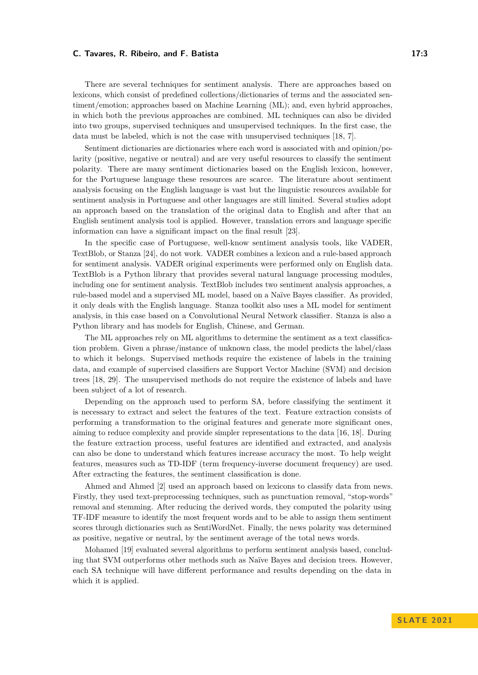There are several techniques for sentiment analysis. There are approaches based on lexicons, which consist of predefined collections/dictionaries of terms and the associated sentiment/emotion; approaches based on Machine Learning (ML); and, even hybrid approaches, in which both the previous approaches are combined. ML techniques can also be divided into two groups, supervised techniques and unsupervised techniques. In the first case, the data must be labeled, which is not the case with unsupervised techniques [\[18,](#page-11-5) [7\]](#page-10-1).

Sentiment dictionaries are dictionaries where each word is associated with and opinion/polarity (positive, negative or neutral) and are very useful resources to classify the sentiment polarity. There are many sentiment dictionaries based on the English lexicon, however, for the Portuguese language these resources are scarce. The literature about sentiment analysis focusing on the English language is vast but the linguistic resources available for sentiment analysis in Portuguese and other languages are still limited. Several studies adopt an approach based on the translation of the original data to English and after that an English sentiment analysis tool is applied. However, translation errors and language specific information can have a significant impact on the final result [\[23\]](#page-11-2).

In the specific case of Portuguese, well-know sentiment analysis tools, like VADER, TextBlob, or Stanza [\[24\]](#page-11-6), do not work. VADER combines a lexicon and a rule-based approach for sentiment analysis. VADER original experiments were performed only on English data. TextBlob is a Python library that provides several natural language processing modules, including one for sentiment analysis. TextBlob includes two sentiment analysis approaches, a rule-based model and a supervised ML model, based on a Naïve Bayes classifier. As provided, it only deals with the English language. Stanza toolkit also uses a ML model for sentiment analysis, in this case based on a Convolutional Neural Network classifier. Stanza is also a Python library and has models for English, Chinese, and German.

The ML approaches rely on ML algorithms to determine the sentiment as a text classification problem. Given a phrase/instance of unknown class, the model predicts the label/class to which it belongs. Supervised methods require the existence of labels in the training data, and example of supervised classifiers are Support Vector Machine (SVM) and decision trees [\[18,](#page-11-5) [29\]](#page-12-1). The unsupervised methods do not require the existence of labels and have been subject of a lot of research.

Depending on the approach used to perform SA, before classifying the sentiment it is necessary to extract and select the features of the text. Feature extraction consists of performing a transformation to the original features and generate more significant ones, aiming to reduce complexity and provide simpler representations to the data [\[16,](#page-11-7) [18\]](#page-11-5). During the feature extraction process, useful features are identified and extracted, and analysis can also be done to understand which features increase accuracy the most. To help weight features, measures such as TD-IDF (term frequency-inverse document frequency) are used. After extracting the features, the sentiment classification is done.

Ahmed and Ahmed [\[2\]](#page-10-2) used an approach based on lexicons to classify data from news. Firstly, they used text-preprocessing techniques, such as punctuation removal, "stop-words" removal and stemming. After reducing the derived words, they computed the polarity using TF-IDF measure to identify the most frequent words and to be able to assign them sentiment scores through dictionaries such as SentiWordNet. Finally, the news polarity was determined as positive, negative or neutral, by the sentiment average of the total news words.

Mohamed [\[19\]](#page-11-8) evaluated several algorithms to perform sentiment analysis based, concluding that SVM outperforms other methods such as Naïve Bayes and decision trees. However, each SA technique will have different performance and results depending on the data in which it is applied.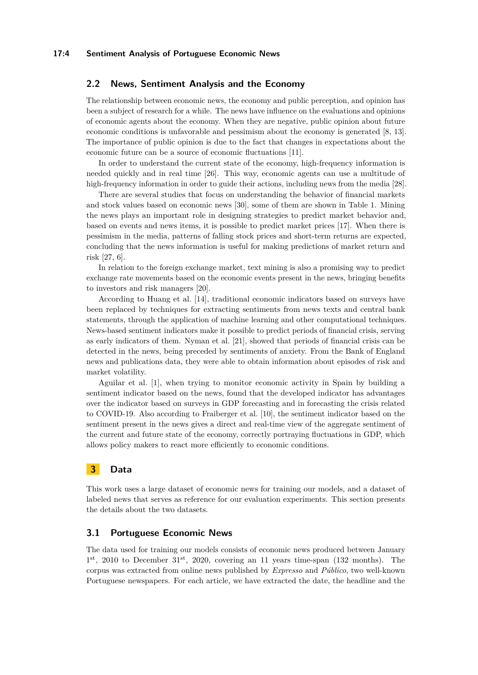## <span id="page-3-0"></span>**2.2 News, Sentiment Analysis and the Economy**

The relationship between economic news, the economy and public perception, and opinion has been a subject of research for a while. The news have influence on the evaluations and opinions of economic agents about the economy. When they are negative, public opinion about future economic conditions is unfavorable and pessimism about the economy is generated [\[8,](#page-11-9) [13\]](#page-11-10). The importance of public opinion is due to the fact that changes in expectations about the economic future can be a source of economic fluctuations [\[11\]](#page-11-11).

In order to understand the current state of the economy, high-frequency information is needed quickly and in real time [\[26\]](#page-12-2). This way, economic agents can use a multitude of high-frequency information in order to guide their actions, including news from the media [\[28\]](#page-12-3).

There are several studies that focus on understanding the behavior of financial markets and stock values based on economic news [\[30\]](#page-12-4), some of them are shown in Table [1.](#page-4-0) Mining the news plays an important role in designing strategies to predict market behavior and, based on events and news items, it is possible to predict market prices [\[17\]](#page-11-12). When there is pessimism in the media, patterns of falling stock prices and short-term returns are expected, concluding that the news information is useful for making predictions of market return and risk [\[27,](#page-12-5) [6\]](#page-10-3).

In relation to the foreign exchange market, text mining is also a promising way to predict exchange rate movements based on the economic events present in the news, bringing benefits to investors and risk managers [\[20\]](#page-11-13).

According to Huang et al. [\[14\]](#page-11-14), traditional economic indicators based on surveys have been replaced by techniques for extracting sentiments from news texts and central bank statements, through the application of machine learning and other computational techniques. News-based sentiment indicators make it possible to predict periods of financial crisis, serving as early indicators of them. Nyman et al. [\[21\]](#page-11-15), showed that periods of financial crisis can be detected in the news, being preceded by sentiments of anxiety. From the Bank of England news and publications data, they were able to obtain information about episodes of risk and market volatility.

Aguilar et al. [\[1\]](#page-10-4), when trying to monitor economic activity in Spain by building a sentiment indicator based on the news, found that the developed indicator has advantages over the indicator based on surveys in GDP forecasting and in forecasting the crisis related to COVID-19. Also according to Fraiberger et al. [\[10\]](#page-11-16), the sentiment indicator based on the sentiment present in the news gives a direct and real-time view of the aggregate sentiment of the current and future state of the economy, correctly portraying fluctuations in GDP, which allows policy makers to react more efficiently to economic conditions.

## <span id="page-3-1"></span>**3 Data**

This work uses a large dataset of economic news for training our models, and a dataset of labeled news that serves as reference for our evaluation experiments. This section presents the details about the two datasets.

## <span id="page-3-2"></span>**3.1 Portuguese Economic News**

The data used for training our models consists of economic news produced between January  $1<sup>st</sup>$ , 2010 to December  $31<sup>st</sup>$ , 2020, covering an 11 years time-span (132 months). The corpus was extracted from online news published by *Expresso* and *Público*, two well-known Portuguese newspapers. For each article, we have extracted the date, the headline and the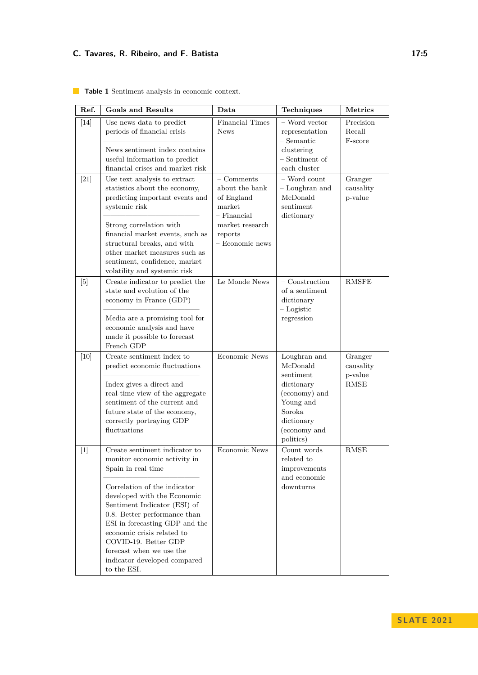| Ref.   | <b>Goals and Results</b>                                                                                                                                                                                                                                                                                                                                                              | Data                                                                                                                     | Techniques                                                                                                                             | Metrics                                           |
|--------|---------------------------------------------------------------------------------------------------------------------------------------------------------------------------------------------------------------------------------------------------------------------------------------------------------------------------------------------------------------------------------------|--------------------------------------------------------------------------------------------------------------------------|----------------------------------------------------------------------------------------------------------------------------------------|---------------------------------------------------|
| $[14]$ | Use news data to predict<br>periods of financial crisis<br>News sentiment index contains<br>useful information to predict<br>financial crises and market risk                                                                                                                                                                                                                         | <b>Financial Times</b><br><b>News</b>                                                                                    | - Word vector<br>representation<br>$-$ Semantic<br>clustering<br>- Sentiment of<br>each cluster                                        | Precision<br>Recall<br>F-score                    |
| $[21]$ | Use text analysis to extract<br>statistics about the economy,<br>predicting important events and<br>systemic risk<br>Strong correlation with<br>financial market events, such as<br>structural breaks, and with<br>other market measures such as $% \alpha$<br>sentiment, confidence, market<br>volatility and systemic risk                                                          | $-$ Comments<br>about the bank<br>of England<br>market<br>$-$ Financial<br>market research<br>reports<br>- Economic news | - Word count<br>- Loughran and<br>McDonald<br>sentiment<br>dictionary                                                                  | Granger<br>causality<br>p-value                   |
| [5]    | Create indicator to predict the<br>state and evolution of the<br>economy in France (GDP)<br>Media are a promising tool for<br>economic analysis and have<br>made it possible to forecast<br>French GDP                                                                                                                                                                                | Le Monde News                                                                                                            | $-$ Construction<br>of a sentiment<br>dictionary<br>$-$ Logistic<br>regression                                                         | <b>RMSFE</b>                                      |
| [10]   | Create sentiment index to<br>predict economic fluctuations<br>Index gives a direct and<br>real-time view of the aggregate<br>sentiment of the current and<br>future state of the economy,<br>correctly portraying GDP<br>fluctuations                                                                                                                                                 | <b>Economic News</b>                                                                                                     | Loughran and<br>McDonald<br>sentiment<br>dictionary<br>(economy) and<br>Young and<br>Soroka<br>dictionary<br>(economy and<br>politics) | Granger<br>causality<br>$p$ -value<br><b>RMSE</b> |
| $[1]$  | Create sentiment indicator to<br>monitor economic activity in<br>Spain in real time<br>Correlation of the indicator<br>developed with the Economic<br>Sentiment Indicator (ESI) of<br>0.8. Better performance than<br>ESI in forecasting GDP and the<br>economic crisis related to<br>COVID-19. Better GDP<br>forecast when we use the<br>indicator developed compared<br>to the ESI. | <b>Economic News</b>                                                                                                     | Count words<br>related to<br>improvements<br>and economic<br>downturns                                                                 | <b>RMSE</b>                                       |

<span id="page-4-0"></span>**Table 1** Sentiment analysis in economic context.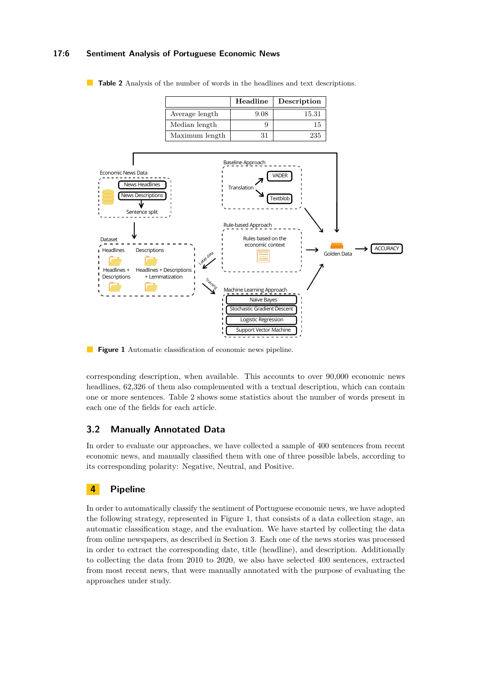## **17:6 Sentiment Analysis of Portuguese Economic News**



<span id="page-5-2"></span>

<span id="page-5-3"></span>

 $\mathcal{L}_{\mathcal{A}}$ **Figure 1** Automatic classification of economic news pipeline.

corresponding description, when available. This accounts to over 90,000 economic news headlines, 62,326 of them also complemented with a textual description, which can contain one or more sentences. Table [2](#page-5-2) shows some statistics about the number of words present in each one of the fields for each article.

## <span id="page-5-0"></span>**3.2 Manually Annotated Data**

In order to evaluate our approaches, we have collected a sample of 400 sentences from recent economic news, and manually classified them with one of three possible labels, according to its corresponding polarity: Negative, Neutral, and Positive.

## <span id="page-5-1"></span>**4 Pipeline**

In order to automatically classify the sentiment of Portuguese economic news, we have adopted the following strategy, represented in Figure [1,](#page-5-3) that consists of a data collection stage, an automatic classification stage, and the evaluation. We have started by collecting the data from online newspapers, as described in Section [3.](#page-3-1) Each one of the news stories was processed in order to extract the corresponding date, title (headline), and description. Additionally to collecting the data from 2010 to 2020, we also have selected 400 sentences, extracted from most recent news, that were manually annotated with the purpose of evaluating the approaches under study.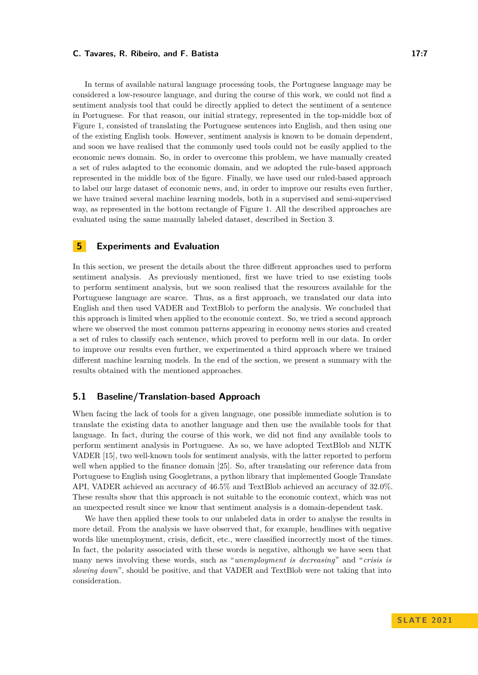In terms of available natural language processing tools, the Portuguese language may be considered a low-resource language, and during the course of this work, we could not find a sentiment analysis tool that could be directly applied to detect the sentiment of a sentence in Portuguese. For that reason, our initial strategy, represented in the top-middle box of Figure [1,](#page-5-3) consisted of translating the Portuguese sentences into English, and then using one of the existing English tools. However, sentiment analysis is known to be domain dependent, and soon we have realised that the commonly used tools could not be easily applied to the economic news domain. So, in order to overcome this problem, we have manually created a set of rules adapted to the economic domain, and we adopted the rule-based approach represented in the middle box of the figure. Finally, we have used our ruled-based approach to label our large dataset of economic news, and, in order to improve our results even further, we have trained several machine learning models, both in a supervised and semi-supervised way, as represented in the bottom rectangle of Figure [1.](#page-5-3) All the described approaches are evaluated using the same manually labeled dataset, described in Section [3.](#page-3-1)

## <span id="page-6-0"></span>**5 Experiments and Evaluation**

In this section, we present the details about the three different approaches used to perform sentiment analysis. As previously mentioned, first we have tried to use existing tools to perform sentiment analysis, but we soon realised that the resources available for the Portuguese language are scarce. Thus, as a first approach, we translated our data into English and then used VADER and TextBlob to perform the analysis. We concluded that this approach is limited when applied to the economic context. So, we tried a second approach where we observed the most common patterns appearing in economy news stories and created a set of rules to classify each sentence, which proved to perform well in our data. In order to improve our results even further, we experimented a third approach where we trained different machine learning models. In the end of the section, we present a summary with the results obtained with the mentioned approaches.

## <span id="page-6-1"></span>**5.1 Baseline/Translation-based Approach**

When facing the lack of tools for a given language, one possible immediate solution is to translate the existing data to another language and then use the available tools for that language. In fact, during the course of this work, we did not find any available tools to perform sentiment analysis in Portuguese. As so, we have adopted TextBlob and NLTK VADER [\[15\]](#page-11-3), two well-known tools for sentiment analysis, with the latter reported to perform well when applied to the finance domain [\[25\]](#page-11-17). So, after translating our reference data from Portuguese to English using Googletrans, a python library that implemented Google Translate API, VADER achieved an accuracy of 46.5% and TextBlob achieved an accuracy of 32.0%. These results show that this approach is not suitable to the economic context, which was not an unexpected result since we know that sentiment analysis is a domain-dependent task.

We have then applied these tools to our unlabeled data in order to analyse the results in more detail. From the analysis we have observed that, for example, headlines with negative words like unemployment, crisis, deficit, etc., were classified incorrectly most of the times. In fact, the polarity associated with these words is negative, although we have seen that many news involving these words, such as "*unemployment is decreasing*" and "*crisis is slowing down*", should be positive, and that VADER and TextBlob were not taking that into consideration.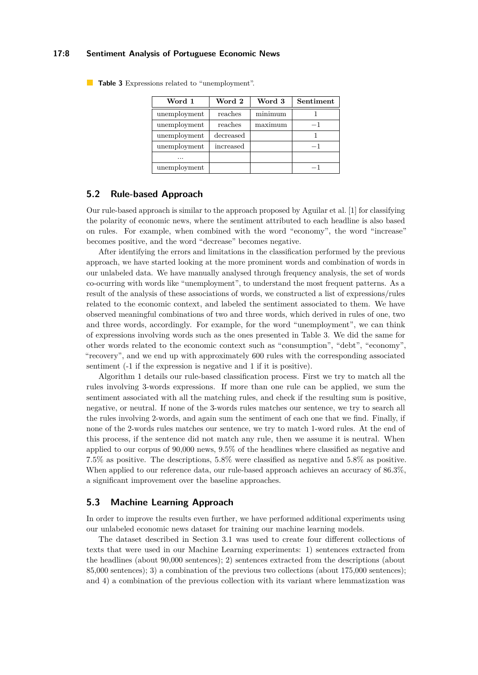#### **17:8 Sentiment Analysis of Portuguese Economic News**

| Word 1       | Word 2    | Word 3  | Sentiment |  |
|--------------|-----------|---------|-----------|--|
| unemployment | reaches   | minimum |           |  |
| unemployment | reaches   | maximum | $-1$      |  |
| unemployment | decreased |         |           |  |
| unemployment | increased |         | $-1$      |  |
| .            |           |         |           |  |
| unemployment |           |         |           |  |

<span id="page-7-2"></span>**Table 3** Expressions related to "unemployment".

## <span id="page-7-0"></span>**5.2 Rule-based Approach**

Our rule-based approach is similar to the approach proposed by Aguilar et al. [\[1\]](#page-10-4) for classifying the polarity of economic news, where the sentiment attributed to each headline is also based on rules. For example, when combined with the word "economy", the word "increase" becomes positive, and the word "decrease" becomes negative.

After identifying the errors and limitations in the classification performed by the previous approach, we have started looking at the more prominent words and combination of words in our unlabeled data. We have manually analysed through frequency analysis, the set of words co-ocurring with words like "unemployment", to understand the most frequent patterns. As a result of the analysis of these associations of words, we constructed a list of expressions/rules related to the economic context, and labeled the sentiment associated to them. We have observed meaningful combinations of two and three words, which derived in rules of one, two and three words, accordingly. For example, for the word "unemployment", we can think of expressions involving words such as the ones presented in Table [3.](#page-7-2) We did the same for other words related to the economic context such as "consumption", "debt", "economy", "recovery", and we end up with approximately 600 rules with the corresponding associated sentiment (-1 if the expression is negative and 1 if it is positive).

Algorithm [1](#page-8-0) details our rule-based classification process. First we try to match all the rules involving 3-words expressions. If more than one rule can be applied, we sum the sentiment associated with all the matching rules, and check if the resulting sum is positive, negative, or neutral. If none of the 3-words rules matches our sentence, we try to search all the rules involving 2-words, and again sum the sentiment of each one that we find. Finally, if none of the 2-words rules matches our sentence, we try to match 1-word rules. At the end of this process, if the sentence did not match any rule, then we assume it is neutral. When applied to our corpus of 90,000 news, 9.5% of the headlines where classified as negative and 7.5% as positive. The descriptions, 5.8% were classified as negative and 5.8% as positive. When applied to our reference data, our rule-based approach achieves an accuracy of 86.3%, a significant improvement over the baseline approaches.

#### <span id="page-7-1"></span>**5.3 Machine Learning Approach**

In order to improve the results even further, we have performed additional experiments using our unlabeled economic news dataset for training our machine learning models.

The dataset described in Section [3.1](#page-3-2) was used to create four different collections of texts that were used in our Machine Learning experiments: 1) sentences extracted from the headlines (about 90,000 sentences); 2) sentences extracted from the descriptions (about 85,000 sentences); 3) a combination of the previous two collections (about 175,000 sentences); and 4) a combination of the previous collection with its variant where lemmatization was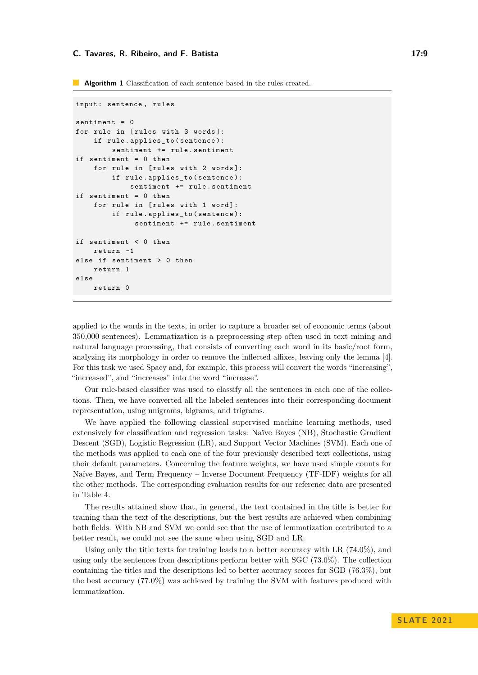<span id="page-8-0"></span>**Algorithm 1** Classification of each sentence based in the rules created.

```
input: sentence, rules
sentiment = 0for rule in [rules with 3 words]:
    if rule . applies_to ( sentence ):
        sentiment += rule . sentiment
if sentiment = 0 then
    for rule in [rules with 2 words]:
        if rule . applies_to ( sentence ):
             sentiment += rule . sentiment
if sentiment = 0 then
    for rule in [rules with 1 word]:
        if rule . applies_to ( sentence ):
              sentiment += rule . sentiment
if sentiment < 0 then
    return -1
else if sentiment > 0 then
    return 1
else
    return 0
```
applied to the words in the texts, in order to capture a broader set of economic terms (about 350,000 sentences). Lemmatization is a preprocessing step often used in text mining and natural language processing, that consists of converting each word in its basic/root form, analyzing its morphology in order to remove the inflected affixes, leaving only the lemma [\[4\]](#page-10-6). For this task we used Spacy and, for example, this process will convert the words "increasing", "increased", and "increases" into the word "increase".

Our rule-based classifier was used to classify all the sentences in each one of the collections. Then, we have converted all the labeled sentences into their corresponding document representation, using unigrams, bigrams, and trigrams.

We have applied the following classical supervised machine learning methods, used extensively for classification and regression tasks: Naïve Bayes (NB), Stochastic Gradient Descent (SGD), Logistic Regression (LR), and Support Vector Machines (SVM). Each one of the methods was applied to each one of the four previously described text collections, using their default parameters. Concerning the feature weights, we have used simple counts for Naïve Bayes, and Term Frequency – Inverse Document Frequency (TF-IDF) weights for all the other methods. The corresponding evaluation results for our reference data are presented in Table [4.](#page-9-2)

The results attained show that, in general, the text contained in the title is better for training than the text of the descriptions, but the best results are achieved when combining both fields. With NB and SVM we could see that the use of lemmatization contributed to a better result, we could not see the same when using SGD and LR.

Using only the title texts for training leads to a better accuracy with LR  $(74.0\%)$ , and using only the sentences from descriptions perform better with SGC (73.0%). The collection containing the titles and the descriptions led to better accuracy scores for SGD (76.3%), but the best accuracy (77.0%) was achieved by training the SVM with features produced with lemmatization.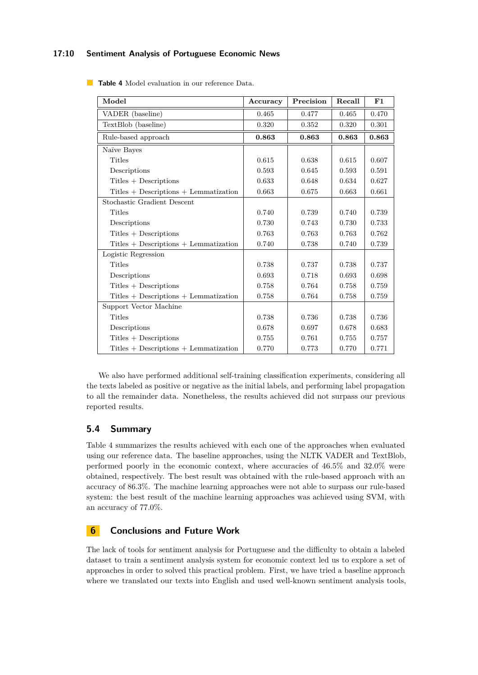## **17:10 Sentiment Analysis of Portuguese Economic News**

| Model                                                       | Accuracy | Precision | Recall | F1    |
|-------------------------------------------------------------|----------|-----------|--------|-------|
| VADER (baseline)                                            | 0.465    | 0.477     | 0.465  | 0.470 |
| TextBlob (baseline)                                         | 0.320    | 0.352     | 0.320  | 0.301 |
| Rule-based approach                                         | 0.863    | 0.863     | 0.863  | 0.863 |
| Naïve Bayes                                                 |          |           |        |       |
| Titles                                                      | 0.615    | 0.638     | 0.615  | 0.607 |
| Descriptions                                                | 0.593    | 0.645     | 0.593  | 0.591 |
| $Tittles + Descriptions$                                    | 0.633    | 0.648     | 0.634  | 0.627 |
| $Tittles + Descriptions + Lemmatization$                    | 0.663    | 0.675     | 0.663  | 0.661 |
| Stochastic Gradient Descent                                 |          |           |        |       |
| Titles                                                      | 0.740    | 0.739     | 0.740  | 0.739 |
| Descriptions                                                | 0.730    | 0.743     | 0.730  | 0.733 |
| $Tittles + Descriptions$                                    | 0.763    | 0.763     | 0.763  | 0.762 |
| $\label{eq:2} \text{Titles + Descriptions + Lemmatization}$ | 0.740    | 0.738     | 0.740  | 0.739 |
| Logistic Regression                                         |          |           |        |       |
| <b>Titles</b>                                               | 0.738    | 0.737     | 0.738  | 0.737 |
| Descriptions                                                | 0.693    | 0.718     | 0.693  | 0.698 |
| $Tities + Descriptions$                                     | 0.758    | 0.764     | 0.758  | 0.759 |
| $Tittles + Descriptions + Lemmatization$                    | 0.758    | 0.764     | 0.758  | 0.759 |
| Support Vector Machine                                      |          |           |        |       |
| Titles                                                      | 0.738    | 0.736     | 0.738  | 0.736 |
| Descriptions                                                | 0.678    | 0.697     | 0.678  | 0.683 |
| $Tittles + Descriptions$                                    | 0.755    | 0.761     | 0.755  | 0.757 |
| $Tittles + Descriptions + Lemmatization$                    | 0.770    | 0.773     | 0.770  | 0.771 |

<span id="page-9-2"></span>**Table 4** Model evaluation in our reference Data.

We also have performed additional self-training classification experiments, considering all the texts labeled as positive or negative as the initial labels, and performing label propagation to all the remainder data. Nonetheless, the results achieved did not surpass our previous reported results.

## <span id="page-9-0"></span>**5.4 Summary**

Table [4](#page-9-2) summarizes the results achieved with each one of the approaches when evaluated using our reference data. The baseline approaches, using the NLTK VADER and TextBlob, performed poorly in the economic context, where accuracies of 46.5% and 32.0% were obtained, respectively. The best result was obtained with the rule-based approach with an accuracy of 86.3%. The machine learning approaches were not able to surpass our rule-based system: the best result of the machine learning approaches was achieved using SVM, with an accuracy of 77.0%.

## <span id="page-9-1"></span>**6 Conclusions and Future Work**

The lack of tools for sentiment analysis for Portuguese and the difficulty to obtain a labeled dataset to train a sentiment analysis system for economic context led us to explore a set of approaches in order to solved this practical problem. First, we have tried a baseline approach where we translated our texts into English and used well-known sentiment analysis tools,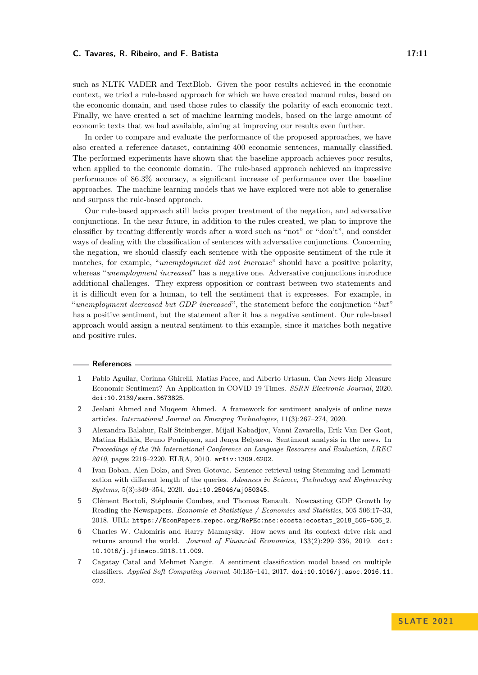such as NLTK VADER and TextBlob. Given the poor results achieved in the economic context, we tried a rule-based approach for which we have created manual rules, based on the economic domain, and used those rules to classify the polarity of each economic text. Finally, we have created a set of machine learning models, based on the large amount of economic texts that we had available, aiming at improving our results even further.

In order to compare and evaluate the performance of the proposed approaches, we have also created a reference dataset, containing 400 economic sentences, manually classified. The performed experiments have shown that the baseline approach achieves poor results, when applied to the economic domain. The rule-based approach achieved an impressive performance of 86.3% accuracy, a significant increase of performance over the baseline approaches. The machine learning models that we have explored were not able to generalise and surpass the rule-based approach.

Our rule-based approach still lacks proper treatment of the negation, and adversative conjunctions. In the near future, in addition to the rules created, we plan to improve the classifier by treating differently words after a word such as "not" or "don't", and consider ways of dealing with the classification of sentences with adversative conjunctions. Concerning the negation, we should classify each sentence with the opposite sentiment of the rule it matches, for example, "*unemployment did not increase*" should have a positive polarity, whereas "*unemployment increased*" has a negative one. Adversative conjunctions introduce additional challenges. They express opposition or contrast between two statements and it is difficult even for a human, to tell the sentiment that it expresses. For example, in "*unemployment decreased but GDP increased*", the statement before the conjunction "*but*" has a positive sentiment, but the statement after it has a negative sentiment. Our rule-based approach would assign a neutral sentiment to this example, since it matches both negative and positive rules.

#### **References**

- <span id="page-10-4"></span>**1** Pablo Aguilar, Corinna Ghirelli, Matías Pacce, and Alberto Urtasun. Can News Help Measure Economic Sentiment? An Application in COVID-19 Times. *SSRN Electronic Journal*, 2020. [doi:10.2139/ssrn.3673825](https://doi.org/10.2139/ssrn.3673825).
- <span id="page-10-2"></span>**2** Jeelani Ahmed and Muqeem Ahmed. A framework for sentiment analysis of online news articles. *International Journal on Emerging Technologies*, 11(3):267–274, 2020.
- <span id="page-10-0"></span>**3** Alexandra Balahur, Ralf Steinberger, Mijail Kabadjov, Vanni Zavarella, Erik Van Der Goot, Matina Halkia, Bruno Pouliquen, and Jenya Belyaeva. Sentiment analysis in the news. In *Proceedings of the 7th International Conference on Language Resources and Evaluation, LREC 2010*, pages 2216–2220. ELRA, 2010. [arXiv:1309.6202](http://arxiv.org/abs/1309.6202).
- <span id="page-10-6"></span>**4** Ivan Boban, Alen Doko, and Sven Gotovac. Sentence retrieval using Stemming and Lemmatization with different length of the queries. *Advances in Science, Technology and Engineering Systems*, 5(3):349–354, 2020. [doi:10.25046/aj050345](https://doi.org/10.25046/aj050345).
- <span id="page-10-5"></span>**5** Clément Bortoli, Stéphanie Combes, and Thomas Renault. Nowcasting GDP Growth by Reading the Newspapers. *Economie et Statistique / Economics and Statistics*, 505-506:17–33, 2018. URL: [https://EconPapers.repec.org/RePEc:nse:ecosta:ecostat\\_2018\\_505-506\\_2](https://EconPapers.repec.org/RePEc:nse:ecosta:ecostat_2018_505-506_2).
- <span id="page-10-3"></span>**6** Charles W. Calomiris and Harry Mamaysky. How news and its context drive risk and returns around the world. *Journal of Financial Economics*, 133(2):299–336, 2019. [doi:](https://doi.org/10.1016/j.jfineco.2018.11.009) [10.1016/j.jfineco.2018.11.009](https://doi.org/10.1016/j.jfineco.2018.11.009).
- <span id="page-10-1"></span>**7** Cagatay Catal and Mehmet Nangir. A sentiment classification model based on multiple classifiers. *Applied Soft Computing Journal*, 50:135–141, 2017. [doi:10.1016/j.asoc.2016.11.](https://doi.org/10.1016/j.asoc.2016.11.022) [022](https://doi.org/10.1016/j.asoc.2016.11.022).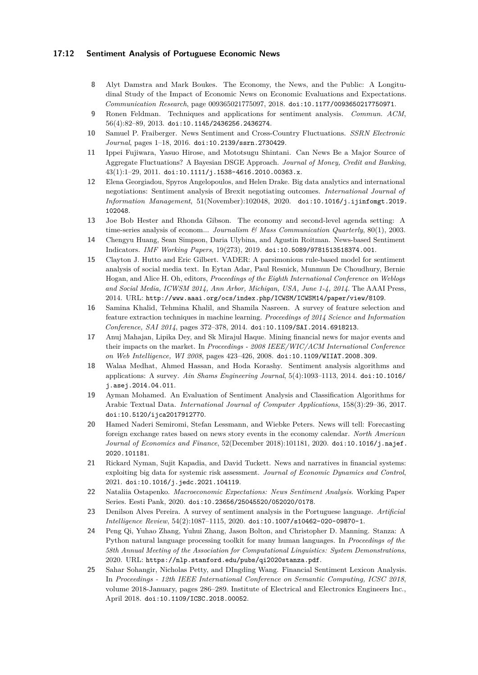#### **17:12 Sentiment Analysis of Portuguese Economic News**

- <span id="page-11-9"></span>**8** Alyt Damstra and Mark Boukes. The Economy, the News, and the Public: A Longitudinal Study of the Impact of Economic News on Economic Evaluations and Expectations. *Communication Research*, page 009365021775097, 2018. [doi:10.1177/0093650217750971](https://doi.org/10.1177/0093650217750971).
- <span id="page-11-1"></span>**9** Ronen Feldman. Techniques and applications for sentiment analysis. *Commun. ACM*, 56(4):82–89, 2013. [doi:10.1145/2436256.2436274](https://doi.org/10.1145/2436256.2436274).
- <span id="page-11-16"></span>**10** Samuel P. Fraiberger. News Sentiment and Cross-Country Fluctuations. *SSRN Electronic Journal*, pages 1–18, 2016. [doi:10.2139/ssrn.2730429](https://doi.org/10.2139/ssrn.2730429).
- <span id="page-11-11"></span>**11** Ippei Fujiwara, Yasuo Hirose, and Mototsugu Shintani. Can News Be a Major Source of Aggregate Fluctuations? A Bayesian DSGE Approach. *Journal of Money, Credit and Banking*,  $43(1):1-29, 2011.$  [doi:10.1111/j.1538-4616.2010.00363.x](https://doi.org/10.1111/j.1538-4616.2010.00363.x).
- <span id="page-11-4"></span>**12** Elena Georgiadou, Spyros Angelopoulos, and Helen Drake. Big data analytics and international negotiations: Sentiment analysis of Brexit negotiating outcomes. *International Journal of Information Management*, 51(November):102048, 2020. [doi:10.1016/j.ijinfomgt.2019.](https://doi.org/10.1016/j.ijinfomgt.2019.102048) [102048](https://doi.org/10.1016/j.ijinfomgt.2019.102048).
- <span id="page-11-10"></span>**13** Joe Bob Hester and Rhonda Gibson. The economy and second-level agenda setting: A time-series analysis of econom... *Journalism & Mass Communication Quarterly*, 80(1), 2003.
- <span id="page-11-14"></span>**14** Chengyu Huang, Sean Simpson, Daria Ulybina, and Agustin Roitman. News-based Sentiment Indicators. *IMF Working Papers*, 19(273), 2019. [doi:10.5089/9781513518374.001](https://doi.org/10.5089/9781513518374.001).
- <span id="page-11-3"></span>**15** Clayton J. Hutto and Eric Gilbert. VADER: A parsimonious rule-based model for sentiment analysis of social media text. In Eytan Adar, Paul Resnick, Munmun De Choudhury, Bernie Hogan, and Alice H. Oh, editors, *Proceedings of the Eighth International Conference on Weblogs and Social Media, ICWSM 2014, Ann Arbor, Michigan, USA, June 1-4, 2014*. The AAAI Press, 2014. URL: <http://www.aaai.org/ocs/index.php/ICWSM/ICWSM14/paper/view/8109>.
- <span id="page-11-7"></span>**16** Samina Khalid, Tehmina Khalil, and Shamila Nasreen. A survey of feature selection and feature extraction techniques in machine learning. *Proceedings of 2014 Science and Information Conference, SAI 2014*, pages 372–378, 2014. [doi:10.1109/SAI.2014.6918213](https://doi.org/10.1109/SAI.2014.6918213).
- <span id="page-11-12"></span>**17** Anuj Mahajan, Lipika Dey, and Sk Mirajul Haque. Mining financial news for major events and their impacts on the market. In *Proceedings - 2008 IEEE/WIC/ACM International Conference on Web Intelligence, WI 2008*, pages 423–426, 2008. [doi:10.1109/WIIAT.2008.309](https://doi.org/10.1109/WIIAT.2008.309).
- <span id="page-11-5"></span>**18** Walaa Medhat, Ahmed Hassan, and Hoda Korashy. Sentiment analysis algorithms and applications: A survey. *Ain Shams Engineering Journal*, 5(4):1093–1113, 2014. [doi:10.1016/](https://doi.org/10.1016/j.asej.2014.04.011) [j.asej.2014.04.011](https://doi.org/10.1016/j.asej.2014.04.011).
- <span id="page-11-8"></span>**19** Ayman Mohamed. An Evaluation of Sentiment Analysis and Classification Algorithms for Arabic Textual Data. *International Journal of Computer Applications*, 158(3):29–36, 2017. [doi:10.5120/ijca2017912770](https://doi.org/10.5120/ijca2017912770).
- <span id="page-11-13"></span>**20** Hamed Naderi Semiromi, Stefan Lessmann, and Wiebke Peters. News will tell: Forecasting foreign exchange rates based on news story events in the economy calendar. *North American Journal of Economics and Finance*, 52(December 2018):101181, 2020. [doi:10.1016/j.najef.](https://doi.org/10.1016/j.najef.2020.101181) [2020.101181](https://doi.org/10.1016/j.najef.2020.101181).
- <span id="page-11-15"></span>**21** Rickard Nyman, Sujit Kapadia, and David Tuckett. News and narratives in financial systems: exploiting big data for systemic risk assessment. *Journal of Economic Dynamics and Control*, 2021. [doi:10.1016/j.jedc.2021.104119](https://doi.org/10.1016/j.jedc.2021.104119).
- <span id="page-11-0"></span>**22** Nataliia Ostapenko. *Macroeconomic Expectations: News Sentiment Analysis*. Working Paper Series. Eesti Pank, 2020. [doi:10.23656/25045520/052020/0178](https://doi.org/10.23656/25045520/052020/0178).
- <span id="page-11-2"></span>**23** Denilson Alves Pereira. A survey of sentiment analysis in the Portuguese language. *Artificial Intelligence Review*, 54(2):1087–1115, 2020. [doi:10.1007/s10462-020-09870-1](https://doi.org/10.1007/s10462-020-09870-1).
- <span id="page-11-6"></span>**24** Peng Qi, Yuhao Zhang, Yuhui Zhang, Jason Bolton, and Christopher D. Manning. Stanza: A Python natural language processing toolkit for many human languages. In *Proceedings of the 58th Annual Meeting of the Association for Computational Linguistics: System Demonstrations*, 2020. URL: <https://nlp.stanford.edu/pubs/qi2020stanza.pdf>.
- <span id="page-11-17"></span>**25** Sahar Sohangir, Nicholas Petty, and DIngding Wang. Financial Sentiment Lexicon Analysis. In *Proceedings - 12th IEEE International Conference on Semantic Computing, ICSC 2018*, volume 2018-January, pages 286–289. Institute of Electrical and Electronics Engineers Inc., April 2018. [doi:10.1109/ICSC.2018.00052](https://doi.org/10.1109/ICSC.2018.00052).